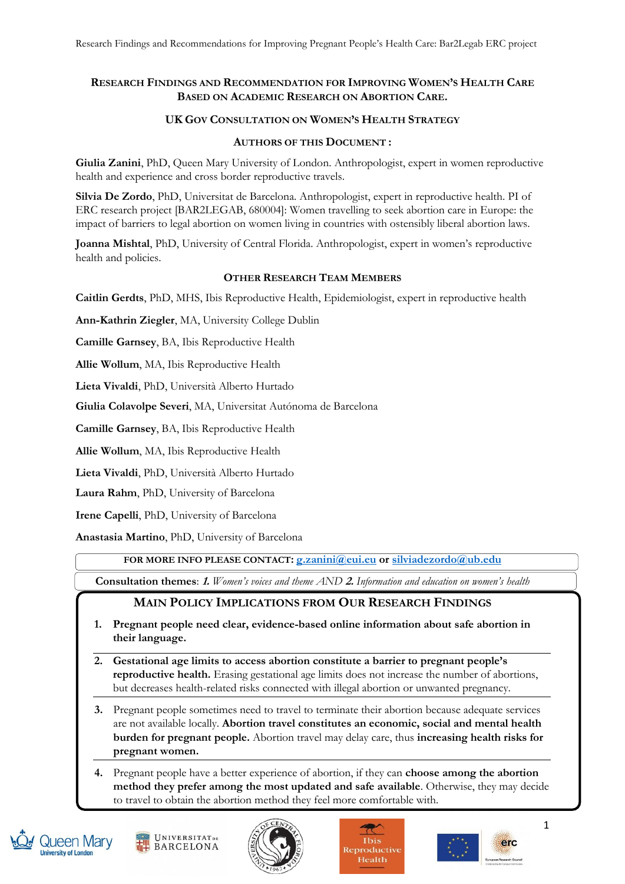# **RESEARCH FINDINGS AND RECOMMENDATION FOR IMPROVING WOMEN'S HEALTH CARE BASED ON ACADEMIC RESEARCH ON ABORTION CARE.**

### **UK GOV CONSULTATION ON WOMEN'S HEALTH STRATEGY**

#### **AUTHORS OF THIS DOCUMENT :**

**Giulia Zanini**, PhD, Queen Mary University of London. Anthropologist, expert in women reproductive health and experience and cross border reproductive travels.

**Silvia De Zordo**, PhD, Universitat de Barcelona. Anthropologist, expert in reproductive health. PI of ERC research project [BAR2LEGAB, 680004]: Women travelling to seek abortion care in Europe: the impact of barriers to legal abortion on women living in countries with ostensibly liberal abortion laws.

**Joanna Mishtal**, PhD, University of Central Florida. Anthropologist, expert in women's reproductive health and policies.

#### **OTHER RESEARCH TEAM MEMBERS**

**Caitlin Gerdts**, PhD, MHS, Ibis Reproductive Health, Epidemiologist, expert in reproductive health

**Ann-Kathrin Ziegler**, MA, University College Dublin

**Camille Garnsey**, BA, Ibis Reproductive Health

**Allie Wollum**, MA, Ibis Reproductive Health

**Lieta Vivaldi**, PhD, Università Alberto Hurtado

**Giulia Colavolpe Severi**, MA, Universitat Autónoma de Barcelona

**Camille Garnsey**, BA, Ibis Reproductive Health

**Allie Wollum**, MA, Ibis Reproductive Health

**Lieta Vivaldi**, PhD, Università Alberto Hurtado

**Laura Rahm**, PhD, University of Barcelona

**Irene Capelli**, PhD, University of Barcelona

**Anastasia Martino**, PhD, University of Barcelona

**FOR MORE INFO PLEASE CONTACT: [g.zanini@eui.eu](mailto:g.zanini@eui.eu) or [silviadezordo@ub.edu](mailto:silviadezordo@ub.edu)**

**Consultation themes**: **1.** *Women's voices and theme AND* **2.** *Information and education on women's health*

# **MAIN POLICY IMPLICATIONS FROM OUR RESEARCH FINDINGS**

- **1. Pregnant people need clear, evidence-based online information about safe abortion in their language.**
- **2. Gestational age limits to access abortion constitute a barrier to pregnant people's reproductive health.** Erasing gestational age limits does not increase the number of abortions, but decreases health-related risks connected with illegal abortion or unwanted pregnancy.

**3.** Pregnant people sometimes need to travel to terminate their abortion because adequate services are not available locally. **Abortion travel constitutes an economic, social and mental health burden for pregnant people.** Abortion travel may delay care, thus **increasing health risks for pregnant women.**

**4.** Pregnant people have a better experience of abortion, if they can **choose among the abortion method they prefer among the most updated and safe available**. Otherwise, they may decide to travel to obtain the abortion method they feel more comfortable with.









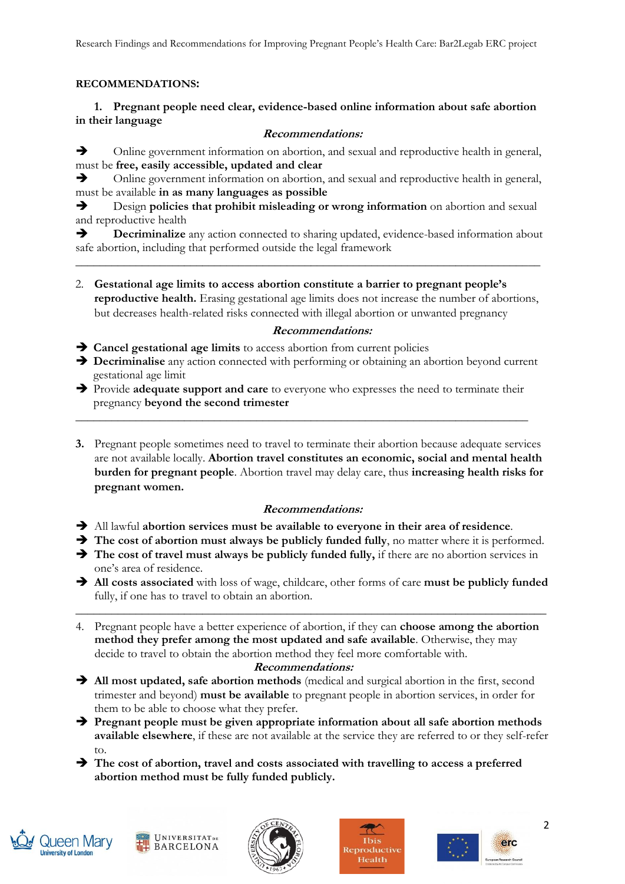Research Findings and Recommendations for Improving Pregnant People's Health Care: Bar2Legab ERC project

## **RECOMMENDATIONS:**

## **1. Pregnant people need clear, evidence-based online information about safe abortion in their language**

## **Recommendations:**

➔ Online government information on abortion, and sexual and reproductive health in general, must be **free, easily accessible, updated and clear**

➔ Online government information on abortion, and sexual and reproductive health in general, must be available **in as many languages as possible**

➔ Design **policies that prohibit misleading or wrong information** on abortion and sexual and reproductive health

➔ **Decriminalize** any action connected to sharing updated, evidence-based information about safe abortion, including that performed outside the legal framework

**\_\_\_\_\_\_\_\_\_\_\_\_\_\_\_\_\_\_\_\_\_\_\_\_\_\_\_\_\_\_\_\_\_\_\_\_\_\_\_\_\_\_\_\_\_\_\_\_\_\_\_\_\_\_\_\_\_\_\_\_\_\_\_\_\_\_\_\_\_\_\_\_\_\_\_\_\_**

2. **Gestational age limits to access abortion constitute a barrier to pregnant people's reproductive health.** Erasing gestational age limits does not increase the number of abortions, but decreases health-related risks connected with illegal abortion or unwanted pregnancy

## **Recommendations:**

➔ **Cancel gestational age limits** to access abortion from current policies

- ➔ **Decriminalise** any action connected with performing or obtaining an abortion beyond current gestational age limit
- ➔ Provide **adequate support and care** to everyone who expresses the need to terminate their pregnancy **beyond the second trimester** \_\_\_\_\_\_\_\_\_\_\_\_\_\_\_\_\_\_\_\_\_\_\_\_\_\_\_\_\_\_\_\_\_\_\_\_\_\_\_\_\_\_\_\_\_\_\_\_\_\_\_\_\_\_\_\_\_\_\_\_\_\_\_\_\_\_\_\_\_\_\_\_\_\_\_
- **3.** Pregnant people sometimes need to travel to terminate their abortion because adequate services are not available locally. **Abortion travel constitutes an economic, social and mental health burden for pregnant people**. Abortion travel may delay care, thus **increasing health risks for pregnant women.**

# **Recommendations:**

- ➔ All lawful **abortion services must be available to everyone in their area of residence**.
- ➔ **The cost of abortion must always be publicly funded fully**, no matter where it is performed.
- ➔ **The cost of travel must always be publicly funded fully,** if there are no abortion services in one's area of residence.
- ➔ **All costs associated** with loss of wage, childcare, other forms of care **must be publicly funded** fully, if one has to travel to obtain an abortion.

\_\_\_\_\_\_\_\_\_\_\_\_\_\_\_\_\_\_\_\_\_\_\_\_\_\_\_\_\_\_\_\_\_\_\_\_\_\_\_\_\_\_\_\_\_\_\_\_\_\_\_\_\_\_\_\_\_\_\_\_\_\_\_\_\_\_\_\_\_\_\_\_\_\_\_\_\_\_

4. Pregnant people have a better experience of abortion, if they can **choose among the abortion method they prefer among the most updated and safe available**. Otherwise, they may decide to travel to obtain the abortion method they feel more comfortable with.

## **Recommendations:**

- ➔ **All most updated, safe abortion methods** (medical and surgical abortion in the first, second trimester and beyond) **must be available** to pregnant people in abortion services, in order for them to be able to choose what they prefer.
- ➔ **Pregnant people must be given appropriate information about all safe abortion methods available elsewhere**, if these are not available at the service they are referred to or they self-refer to.
- ➔ **The cost of abortion, travel and costs associated with travelling to access a preferred abortion method must be fully funded publicly.**









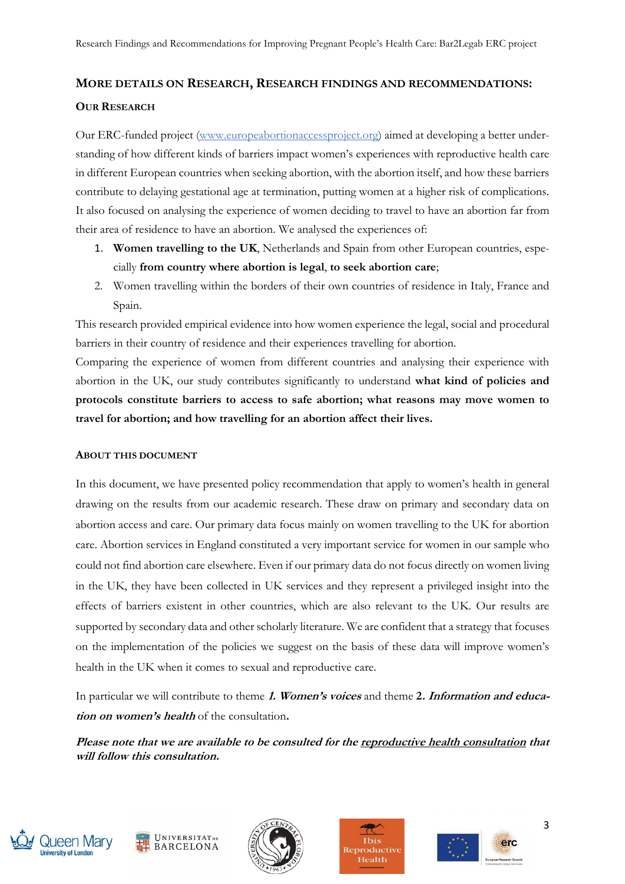## **MORE DETAILS ON RESEARCH, RESEARCH FINDINGS AND RECOMMENDATIONS:**

#### **OUR RESEARCH**

Our ERC-funded project [\(www.europeabortionaccessproject.org\)](http://www.europeabortionaccessproject.org/) aimed at developing a better understanding of how different kinds of barriers impact women's experiences with reproductive health care in different European countries when seeking abortion, with the abortion itself, and how these barriers contribute to delaying gestational age at termination, putting women at a higher risk of complications. It also focused on analysing the experience of women deciding to travel to have an abortion far from their area of residence to have an abortion. We analysed the experiences of:

- 1. **Women travelling to the UK**, Netherlands and Spain from other European countries, especially **from country where abortion is legal**, **to seek abortion care**;
- 2. Women travelling within the borders of their own countries of residence in Italy, France and Spain.

This research provided empirical evidence into how women experience the legal, social and procedural barriers in their country of residence and their experiences travelling for abortion.

Comparing the experience of women from different countries and analysing their experience with abortion in the UK, our study contributes significantly to understand **what kind of policies and protocols constitute barriers to access to safe abortion; what reasons may move women to travel for abortion; and how travelling for an abortion affect their lives.**

#### **ABOUT THIS DOCUMENT**

In this document, we have presented policy recommendation that apply to women's health in general drawing on the results from our academic research. These draw on primary and secondary data on abortion access and care. Our primary data focus mainly on women travelling to the UK for abortion care. Abortion services in England constituted a very important service for women in our sample who could not find abortion care elsewhere. Even if our primary data do not focus directly on women living in the UK, they have been collected in UK services and they represent a privileged insight into the effects of barriers existent in other countries, which are also relevant to the UK. Our results are supported by secondary data and other scholarly literature. We are confident that a strategy that focuses on the implementation of the policies we suggest on the basis of these data will improve women's health in the UK when it comes to sexual and reproductive care.

In particular we will contribute to theme **1. Women's voices** and theme **2. Information and education on women's health** of the consultation**.**

**Please note that we are available to be consulted for the reproductive health consultation that will follow this consultation.**











3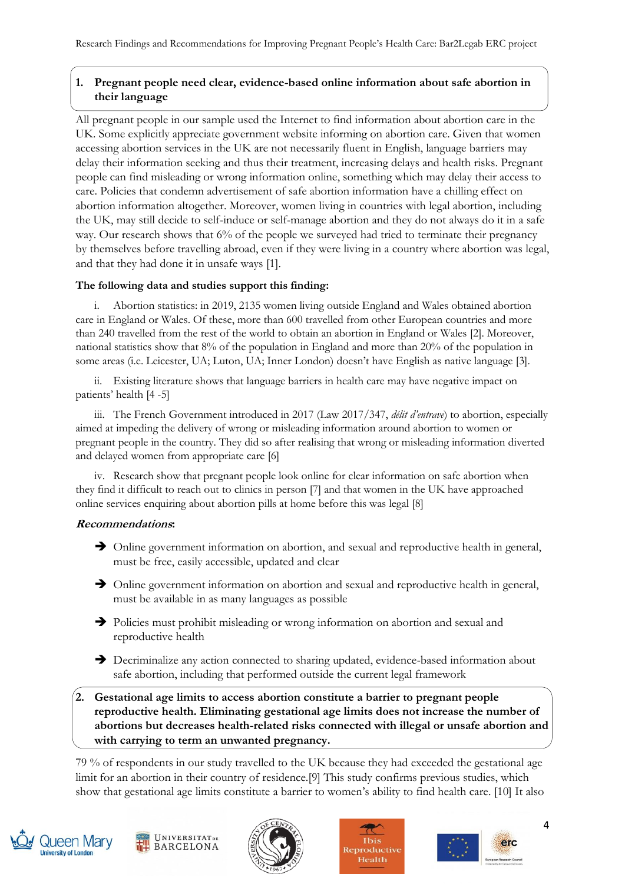# **1. Pregnant people need clear, evidence-based online information about safe abortion in their language**

All pregnant people in our sample used the Internet to find information about abortion care in the UK. Some explicitly appreciate government website informing on abortion care. Given that women accessing abortion services in the UK are not necessarily fluent in English, language barriers may delay their information seeking and thus their treatment, increasing delays and health risks. Pregnant people can find misleading or wrong information online, something which may delay their access to care. Policies that condemn advertisement of safe abortion information have a chilling effect on abortion information altogether. Moreover, women living in countries with legal abortion, including the UK, may still decide to self-induce or self-manage abortion and they do not always do it in a safe way. Our research shows that 6% of the people we surveyed had tried to terminate their pregnancy by themselves before travelling abroad, even if they were living in a country where abortion was legal, and that they had done it in unsafe ways [1].

## **The following data and studies support this finding:**

i. Abortion statistics: in 2019, 2135 women living outside England and Wales obtained abortion care in England or Wales. Of these, more than 600 travelled from other European countries and more than 240 travelled from the rest of the world to obtain an abortion in England or Wales [2]. Moreover, national statistics show that 8% of the population in England and more than 20% of the population in some areas (i.e. Leicester, UA; Luton, UA; Inner London) doesn't have English as native language [3].

ii. Existing literature shows that language barriers in health care may have negative impact on patients' health [4 -5]

iii. The French Government introduced in 2017 (Law 2017/347, *délit d'entrave*) to abortion, especially aimed at impeding the delivery of wrong or misleading information around abortion to women or pregnant people in the country. They did so after realising that wrong or misleading information diverted and delayed women from appropriate care [6]

iv. Research show that pregnant people look online for clear information on safe abortion when they find it difficult to reach out to clinics in person [7] and that women in the UK have approached online services enquiring about abortion pills at home before this was legal [8]

## **Recommendations:**

- ➔ Online government information on abortion, and sexual and reproductive health in general, must be free, easily accessible, updated and clear
- ➔ Online government information on abortion and sexual and reproductive health in general, must be available in as many languages as possible
- ➔ Policies must prohibit misleading or wrong information on abortion and sexual and reproductive health
- ➔ Decriminalize any action connected to sharing updated, evidence-based information about safe abortion, including that performed outside the current legal framework
- **2. Gestational age limits to access abortion constitute a barrier to pregnant people reproductive health. Eliminating gestational age limits does not increase the number of abortions but decreases health-related risks connected with illegal or unsafe abortion and with carrying to term an unwanted pregnancy.**

79 % of respondents in our study travelled to the UK because they had exceeded the gestational age limit for an abortion in their country of residence.[9] This study confirms previous studies, which show that gestational age limits constitute a barrier to women's ability to find health care. [10] It also









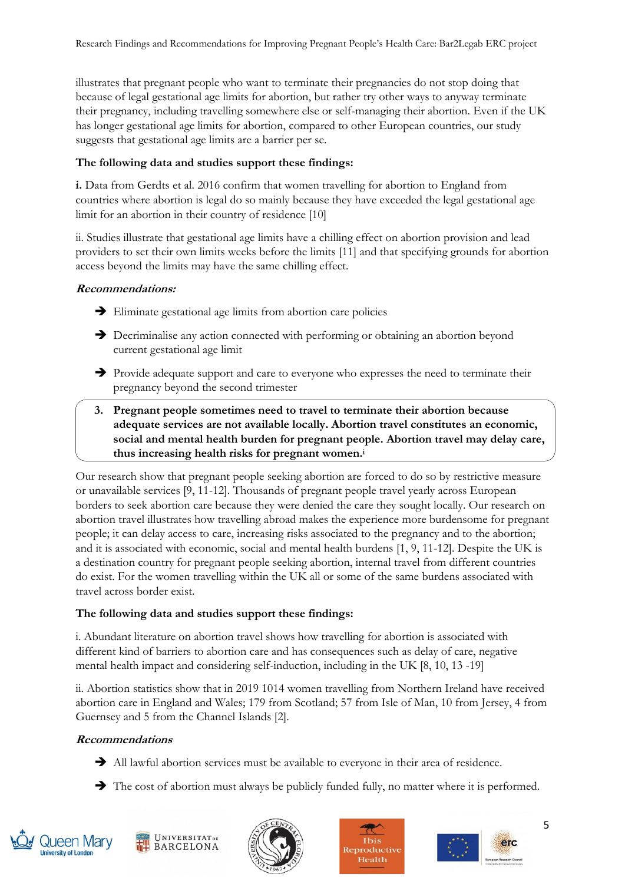illustrates that pregnant people who want to terminate their pregnancies do not stop doing that because of legal gestational age limits for abortion, but rather try other ways to anyway terminate their pregnancy, including travelling somewhere else or self-managing their abortion. Even if the UK has longer gestational age limits for abortion, compared to other European countries, our study suggests that gestational age limits are a barrier per se.

### **The following data and studies support these findings:**

**i.** Data from Gerdts et al. 2016 confirm that women travelling for abortion to England from countries where abortion is legal do so mainly because they have exceeded the legal gestational age limit for an abortion in their country of residence [10]

ii. Studies illustrate that gestational age limits have a chilling effect on abortion provision and lead providers to set their own limits weeks before the limits [11] and that specifying grounds for abortion access beyond the limits may have the same chilling effect.

#### **Recommendations:**

- ➔ Eliminate gestational age limits from abortion care policies
- **→** Decriminalise any action connected with performing or obtaining an abortion beyond current gestational age limit
- ➔ Provide adequate support and care to everyone who expresses the need to terminate their pregnancy beyond the second trimester
- **3. Pregnant people sometimes need to travel to terminate their abortion because adequate services are not available locally. Abortion travel constitutes an economic, social and mental health burden for pregnant people. Abortion travel may delay care, thus increasing health risks for pregnant women.<sup>i</sup>**

Our research show that pregnant people seeking abortion are forced to do so by restrictive measure or unavailable services [9, 11-12]. Thousands of pregnant people travel yearly across European borders to seek abortion care because they were denied the care they sought locally. Our research on abortion travel illustrates how travelling abroad makes the experience more burdensome for pregnant people; it can delay access to care, increasing risks associated to the pregnancy and to the abortion; and it is associated with economic, social and mental health burdens [1, 9, 11-12]. Despite the UK is a destination country for pregnant people seeking abortion, internal travel from different countries do exist. For the women travelling within the UK all or some of the same burdens associated with travel across border exist.

## **The following data and studies support these findings:**

i. Abundant literature on abortion travel shows how travelling for abortion is associated with different kind of barriers to abortion care and has consequences such as delay of care, negative mental health impact and considering self-induction, including in the UK [8, 10, 13 -19]

ii. Abortion statistics show that in 2019 1014 women travelling from Northern Ireland have received abortion care in England and Wales; 179 from Scotland; 57 from Isle of Man, 10 from Jersey, 4 from Guernsey and 5 from the Channel Islands [2].

## **Recommendations**

- ➔ All lawful abortion services must be available to everyone in their area of residence.
- ➔ The cost of abortion must always be publicly funded fully, no matter where it is performed.











5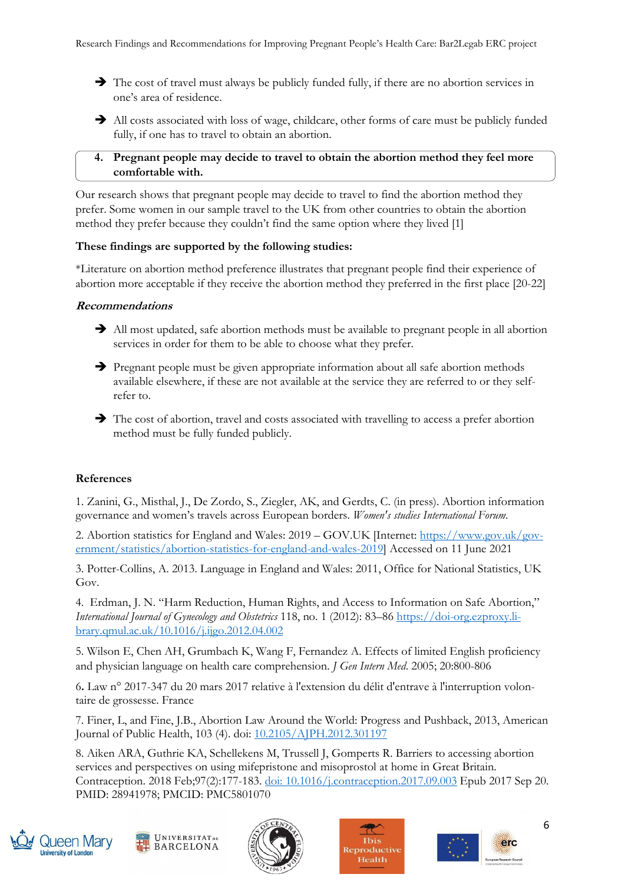- ➔ The cost of travel must always be publicly funded fully, if there are no abortion services in one's area of residence.
- → All costs associated with loss of wage, childcare, other forms of care must be publicly funded fully, if one has to travel to obtain an abortion.

## **4. Pregnant people may decide to travel to obtain the abortion method they feel more comfortable with.**

Our research shows that pregnant people may decide to travel to find the abortion method they prefer. Some women in our sample travel to the UK from other countries to obtain the abortion method they prefer because they couldn't find the same option where they lived [1]

## **These findings are supported by the following studies:**

\*Literature on abortion method preference illustrates that pregnant people find their experience of abortion more acceptable if they receive the abortion method they preferred in the first place [20-22]

#### **Recommendations**

- **→** All most updated, safe abortion methods must be available to pregnant people in all abortion services in order for them to be able to choose what they prefer.
- ➔ Pregnant people must be given appropriate information about all safe abortion methods available elsewhere, if these are not available at the service they are referred to or they selfrefer to.
- ➔ The cost of abortion, travel and costs associated with travelling to access a prefer abortion method must be fully funded publicly.

## **References**

1. Zanini, G., Misthal, J., De Zordo, S., Ziegler, AK, and Gerdts, C. (in press). Abortion information governance and women's travels across European borders. *Women's studies International Forum*.

2. Abortion statistics for England and Wales: 2019 – GOV.UK [Internet: [https://www.gov.uk/gov](https://www.gov.uk/government/statistics/abortion-statistics-for-england-and-wales-2019)[ernment/statistics/abortion-statistics-for-england-and-wales-2019\]](https://www.gov.uk/government/statistics/abortion-statistics-for-england-and-wales-2019) Accessed on 11 June 2021

3. Potter-Collins, A. 2013. Language in England and Wales: 2011, Office for National Statistics, UK Gov.

4. Erdman, J. N. "Harm Reduction, Human Rights, and Access to Information on Safe Abortion," *International Journal of Gynecology and Obstetrics* 118, no. 1 (2012): 83–86 [https://doi-org.ezproxy.li](https://doi-org.ezproxy.library.qmul.ac.uk/10.1016/j.ijgo.2012.04.002)[brary.qmul.ac.uk/10.1016/j.ijgo.2012.04.002](https://doi-org.ezproxy.library.qmul.ac.uk/10.1016/j.ijgo.2012.04.002)

5. Wilson E, Chen AH, Grumbach K, Wang F, Fernandez A. Effects of limited English proficiency and physician language on health care comprehension. *J Gen Intern Med*. 2005; 20:800-806

6**.** Law n° 2017-347 du 20 mars 2017 relative à l'extension du délit d'entrave à l'interruption volontaire de grossesse. France

7. Finer, L, and Fine, J.B., Abortion Law Around the World: Progress and Pushback, 2013, American Journal of Public Health, 103 (4). doi: [10.2105/AJPH.2012.301197](https://dx.doi.org/10.2105%2FAJPH.2012.301197)

8. Aiken ARA, Guthrie KA, Schellekens M, Trussell J, Gomperts R. Barriers to accessing abortion services and perspectives on using mifepristone and misoprostol at home in Great Britain. Contraception. 2018 Feb;97(2):177-183. [doi: 10.1016/j.contraception.2017.09.003](doi:%2010.1016/j.contraception.2017.09.003) Epub 2017 Sep 20. PMID: 28941978; PMCID: PMC5801070